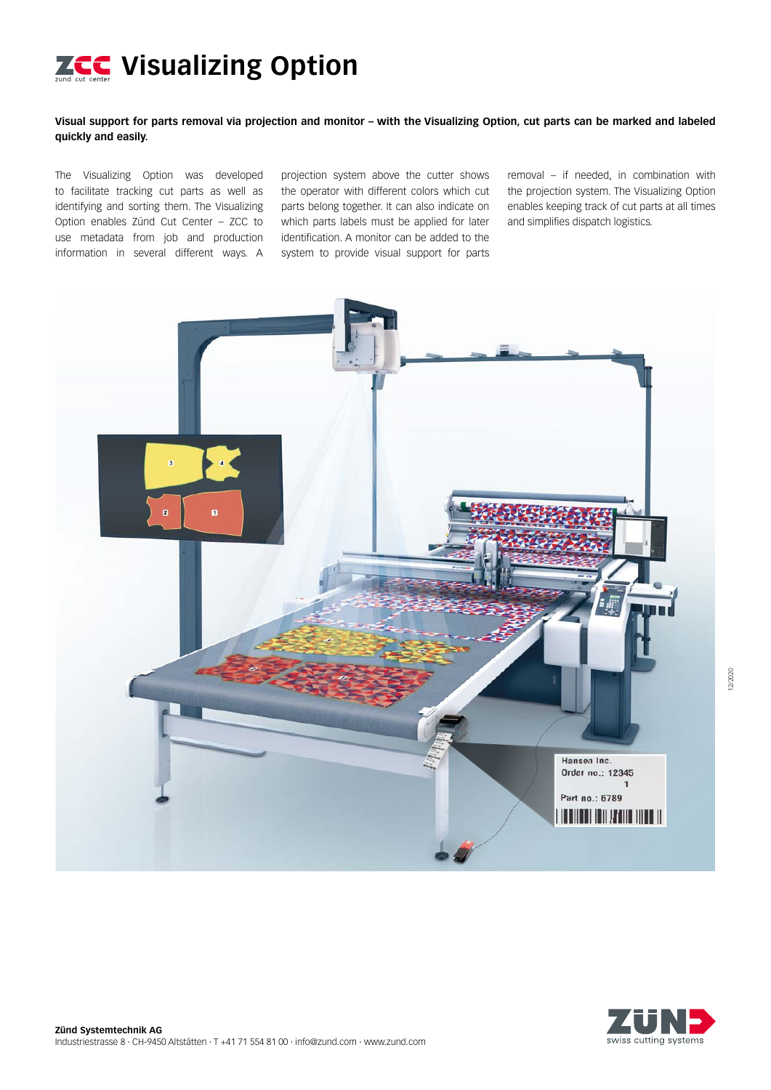

# **Visual support for parts removal via projection and monitor – with the Visualizing Option, cut parts can be marked and labeled quickly and easily.**

The Visualizing Option was developed to facilitate tracking cut parts as well as identifying and sorting them. The Visualizing Option enables Zünd Cut Center – ZCC to use metadata from job and production information in several different ways. A

projection system above the cutter shows the operator with different colors which cut parts belong together. It can also indicate on which parts labels must be applied for later identification. A monitor can be added to the system to provide visual support for parts

removal – if needed, in combination with the projection system. The Visualizing Option enables keeping track of cut parts at all times and simplifies dispatch logistics.